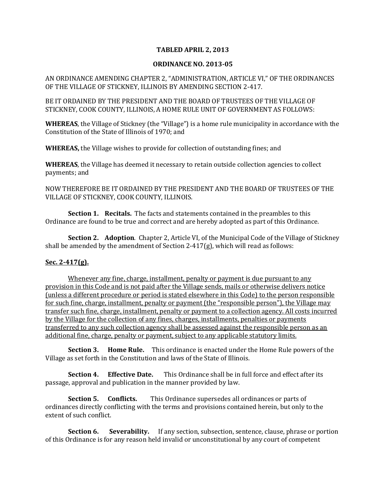## **TABLED APRIL 2, 2013**

## **ORDINANCE NO. 2013-05**

AN ORDINANCE AMENDING CHAPTER 2, "ADMINISTRATION, ARTICLE VI," OF THE ORDINANCES OF THE VILLAGE OF STICKNEY, ILLINOIS BY AMENDING SECTION 2-417.

BE IT ORDAINED BY THE PRESIDENT AND THE BOARD OF TRUSTEES OF THE VILLAGE OF STICKNEY, COOK COUNTY, ILLINOIS, A HOME RULE UNIT OF GOVERNMENT AS FOLLOWS:

**WHEREAS**, the Village of Stickney (the "Village") is a home rule municipality in accordance with the Constitution of the State of Illinois of 1970; and

**WHEREAS,** the Village wishes to provide for collection of outstanding fines; and

**WHEREAS**, the Village has deemed it necessary to retain outside collection agencies to collect payments; and

NOW THEREFORE BE IT ORDAINED BY THE PRESIDENT AND THE BOARD OF TRUSTEES OF THE VILLAGE OF STICKNEY, COOK COUNTY, ILLINOIS.

**Section 1. Recitals.** The facts and statements contained in the preambles to this Ordinance are found to be true and correct and are hereby adopted as part of this Ordinance.

**Section 2. Adoption**. Chapter 2, Article VI, of the Municipal Code of the Village of Stickney shall be amended by the amendment of Section 2-417 $(g)$ , which will read as follows:

## **Sec. 2-417(g).**

Whenever any fine, charge, installment, penalty or payment is due pursuant to any provision in this Code and is not paid after the Village sends, mails or otherwise delivers notice (unless a different procedure or period is stated elsewhere in this Code) to the person responsible for such fine, charge, installment, penalty or payment (the "responsible person"), the Village may transfer such fine, charge, installment, penalty or payment to a collection agency. All costs incurred by the Village for the collection of any fines, charges, installments, penalties or payments transferred to any such collection agency shall be assessed against the responsible person as an additional fine, charge, penalty or payment, subject to any applicable statutory limits.

**Section 3. Home Rule.** This ordinance is enacted under the Home Rule powers of the Village as set forth in the Constitution and laws of the State of Illinois.

**Section 4. Effective Date.** This Ordinance shall be in full force and effect after its passage, approval and publication in the manner provided by law.

**Section 5. Conflicts.** This Ordinance supersedes all ordinances or parts of ordinances directly conflicting with the terms and provisions contained herein, but only to the extent of such conflict.

**Section 6.** Severability. If any section, subsection, sentence, clause, phrase or portion of this Ordinance is for any reason held invalid or unconstitutional by any court of competent